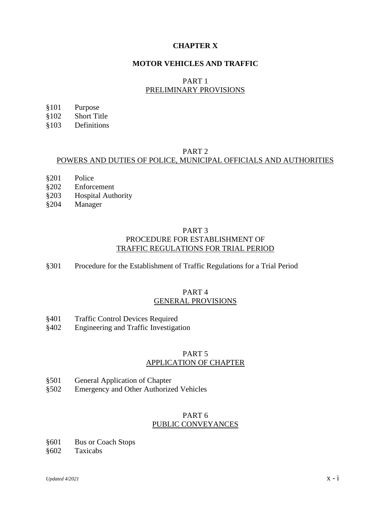# **CHAPTER X**

# **MOTOR VEHICLES AND TRAFFIC**

# PART 1 PRELIMINARY PROVISIONS

- §101 Purpose
- §102 Short Title
- §103 Definitions

# PART 2

# POWERS AND DUTIES OF POLICE, MUNICIPAL OFFICIALS AND AUTHORITIES

- §201 Police
- §202 Enforcement
- §203 Hospital Authority
- §204 Manager

## PART 3 PROCEDURE FOR ESTABLISHMENT OF TRAFFIC REGULATIONS FOR TRIAL PERIOD

§301 Procedure for the Establishment of Traffic Regulations for a Trial Period

# PART 4 GENERAL PROVISIONS

- §401 Traffic Control Devices Required
- §402 Engineering and Traffic Investigation

## PART 5 APPLICATION OF CHAPTER

- §501 General Application of Chapter
- §502 Emergency and Other Authorized Vehicles

### PART 6 PUBLIC CONVEYANCES

- §601 Bus or Coach Stops
- §602 Taxicabs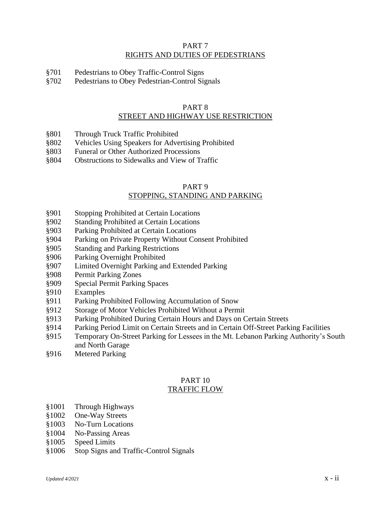## PART 7 RIGHTS AND DUTIES OF PEDESTRIANS

- §701 Pedestrians to Obey Traffic-Control Signs
- §702 Pedestrians to Obey Pedestrian-Control Signals

#### PART 8 STREET AND HIGHWAY USE RESTRICTION

- §801 Through Truck Traffic Prohibited
- §802 Vehicles Using Speakers for Advertising Prohibited
- §803 Funeral or Other Authorized Processions
- §804 Obstructions to Sidewalks and View of Traffic

#### PART 9 STOPPING, STANDING AND PARKING

- §901 Stopping Prohibited at Certain Locations
- §902 Standing Prohibited at Certain Locations
- §903 Parking Prohibited at Certain Locations
- §904 Parking on Private Property Without Consent Prohibited
- §905 Standing and Parking Restrictions
- §906 Parking Overnight Prohibited
- §907 Limited Overnight Parking and Extended Parking
- §908 Permit Parking Zones
- §909 Special Permit Parking Spaces
- §910 Examples
- §911 Parking Prohibited Following Accumulation of Snow
- §912 Storage of Motor Vehicles Prohibited Without a Permit
- §913 Parking Prohibited During Certain Hours and Days on Certain Streets
- §914 Parking Period Limit on Certain Streets and in Certain Off-Street Parking Facilities
- §915 Temporary On-Street Parking for Lessees in the Mt. Lebanon Parking Authority's South and North Garage
- §916 Metered Parking

#### PART 10 TRAFFIC FLOW

- §1001 Through Highways
- §1002 One-Way Streets
- §1003 No-Turn Locations
- §1004 No-Passing Areas
- §1005 Speed Limits
- §1006 Stop Signs and Traffic-Control Signals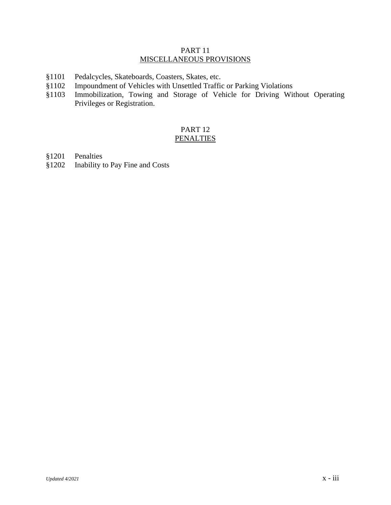### PART 11 MISCELLANEOUS PROVISIONS

- §1101 Pedalcycles, Skateboards, Coasters, Skates, etc.<br>§1102 Impoundment of Vehicles with Unsettled Traffic
- Impoundment of Vehicles with Unsettled Traffic or Parking Violations
- §1103 Immobilization, Towing and Storage of Vehicle for Driving Without Operating Privileges or Registration.

# PART 12 **PENALTIES**

- §1201 Penalties
- §1202 Inability to Pay Fine and Costs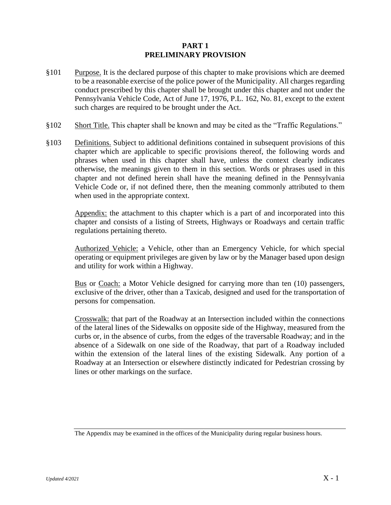## **PART 1 PRELIMINARY PROVISION**

- §101 Purpose. It is the declared purpose of this chapter to make provisions which are deemed to be a reasonable exercise of the police power of the Municipality. All charges regarding conduct prescribed by this chapter shall be brought under this chapter and not under the Pennsylvania Vehicle Code, Act of June 17, 1976, P.L. 162, No. 81, except to the extent such charges are required to be brought under the Act.
- §102 Short Title. This chapter shall be known and may be cited as the "Traffic Regulations."
- §103 Definitions. Subject to additional definitions contained in subsequent provisions of this chapter which are applicable to specific provisions thereof, the following words and phrases when used in this chapter shall have, unless the context clearly indicates otherwise, the meanings given to them in this section. Words or phrases used in this chapter and not defined herein shall have the meaning defined in the Pennsylvania Vehicle Code or, if not defined there, then the meaning commonly attributed to them when used in the appropriate context.

Appendix: the attachment to this chapter which is a part of and incorporated into this chapter and consists of a listing of Streets, Highways or Roadways and certain traffic regulations pertaining thereto.

Authorized Vehicle: a Vehicle, other than an Emergency Vehicle, for which special operating or equipment privileges are given by law or by the Manager based upon design and utility for work within a Highway.

Bus or Coach: a Motor Vehicle designed for carrying more than ten (10) passengers, exclusive of the driver, other than a Taxicab, designed and used for the transportation of persons for compensation.

Crosswalk: that part of the Roadway at an Intersection included within the connections of the lateral lines of the Sidewalks on opposite side of the Highway, measured from the curbs or, in the absence of curbs, from the edges of the traversable Roadway; and in the absence of a Sidewalk on one side of the Roadway, that part of a Roadway included within the extension of the lateral lines of the existing Sidewalk. Any portion of a Roadway at an Intersection or elsewhere distinctly indicated for Pedestrian crossing by lines or other markings on the surface.

The Appendix may be examined in the offices of the Municipality during regular business hours.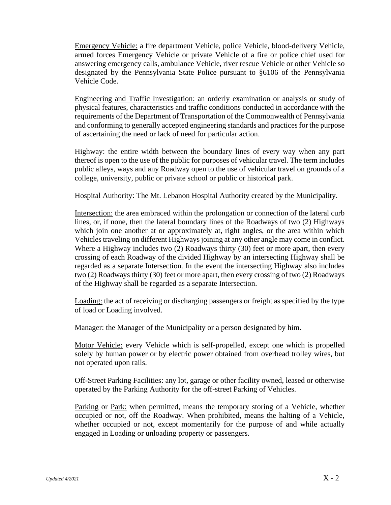Emergency Vehicle: a fire department Vehicle, police Vehicle, blood-delivery Vehicle, armed forces Emergency Vehicle or private Vehicle of a fire or police chief used for answering emergency calls, ambulance Vehicle, river rescue Vehicle or other Vehicle so designated by the Pennsylvania State Police pursuant to §6106 of the Pennsylvania Vehicle Code.

Engineering and Traffic Investigation: an orderly examination or analysis or study of physical features, characteristics and traffic conditions conducted in accordance with the requirements of the Department of Transportation of the Commonwealth of Pennsylvania and conforming to generally accepted engineering standards and practices for the purpose of ascertaining the need or lack of need for particular action.

Highway: the entire width between the boundary lines of every way when any part thereof is open to the use of the public for purposes of vehicular travel. The term includes public alleys, ways and any Roadway open to the use of vehicular travel on grounds of a college, university, public or private school or public or historical park.

Hospital Authority: The Mt. Lebanon Hospital Authority created by the Municipality.

Intersection: the area embraced within the prolongation or connection of the lateral curb lines, or, if none, then the lateral boundary lines of the Roadways of two (2) Highways which join one another at or approximately at, right angles, or the area within which Vehicles traveling on different Highways joining at any other angle may come in conflict. Where a Highway includes two (2) Roadways thirty (30) feet or more apart, then every crossing of each Roadway of the divided Highway by an intersecting Highway shall be regarded as a separate Intersection. In the event the intersecting Highway also includes two (2) Roadways thirty (30) feet or more apart, then every crossing of two (2) Roadways of the Highway shall be regarded as a separate Intersection.

Loading: the act of receiving or discharging passengers or freight as specified by the type of load or Loading involved.

Manager: the Manager of the Municipality or a person designated by him.

Motor Vehicle: every Vehicle which is self-propelled, except one which is propelled solely by human power or by electric power obtained from overhead trolley wires, but not operated upon rails.

Off-Street Parking Facilities: any lot, garage or other facility owned, leased or otherwise operated by the Parking Authority for the off-street Parking of Vehicles.

Parking or Park: when permitted, means the temporary storing of a Vehicle, whether occupied or not, off the Roadway. When prohibited, means the halting of a Vehicle, whether occupied or not, except momentarily for the purpose of and while actually engaged in Loading or unloading property or passengers.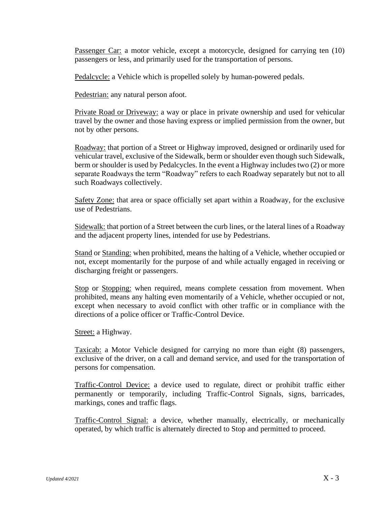Passenger Car: a motor vehicle, except a motorcycle, designed for carrying ten (10) passengers or less, and primarily used for the transportation of persons.

Pedalcycle: a Vehicle which is propelled solely by human-powered pedals.

Pedestrian: any natural person afoot.

Private Road or Driveway: a way or place in private ownership and used for vehicular travel by the owner and those having express or implied permission from the owner, but not by other persons.

Roadway: that portion of a Street or Highway improved, designed or ordinarily used for vehicular travel, exclusive of the Sidewalk, berm or shoulder even though such Sidewalk, berm or shoulder is used by Pedalcycles. In the event a Highway includes two (2) or more separate Roadways the term "Roadway" refers to each Roadway separately but not to all such Roadways collectively.

Safety Zone: that area or space officially set apart within a Roadway, for the exclusive use of Pedestrians.

Sidewalk: that portion of a Street between the curb lines, or the lateral lines of a Roadway and the adjacent property lines, intended for use by Pedestrians.

Stand or Standing: when prohibited, means the halting of a Vehicle, whether occupied or not, except momentarily for the purpose of and while actually engaged in receiving or discharging freight or passengers.

Stop or Stopping: when required, means complete cessation from movement. When prohibited, means any halting even momentarily of a Vehicle, whether occupied or not, except when necessary to avoid conflict with other traffic or in compliance with the directions of a police officer or Traffic-Control Device.

Street: a Highway.

Taxicab: a Motor Vehicle designed for carrying no more than eight (8) passengers, exclusive of the driver, on a call and demand service, and used for the transportation of persons for compensation.

Traffic-Control Device: a device used to regulate, direct or prohibit traffic either permanently or temporarily, including Traffic-Control Signals, signs, barricades, markings, cones and traffic flags.

Traffic-Control Signal: a device, whether manually, electrically, or mechanically operated, by which traffic is alternately directed to Stop and permitted to proceed.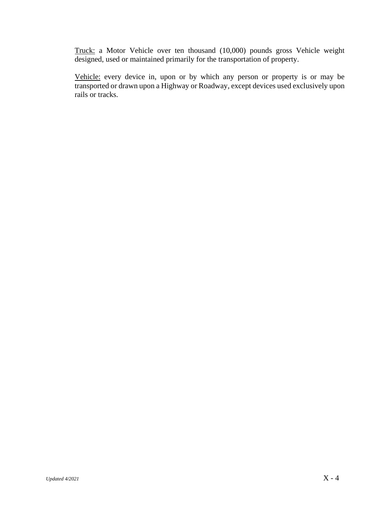Truck: a Motor Vehicle over ten thousand (10,000) pounds gross Vehicle weight designed, used or maintained primarily for the transportation of property.

Vehicle: every device in, upon or by which any person or property is or may be transported or drawn upon a Highway or Roadway, except devices used exclusively upon rails or tracks.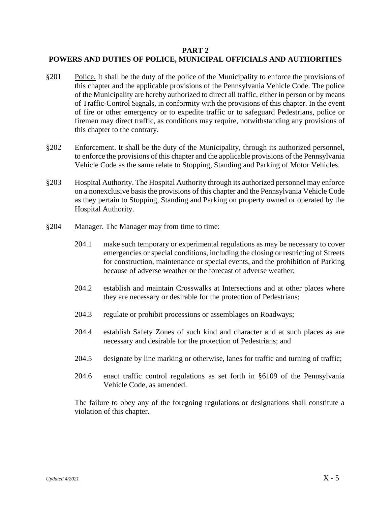# **PART 2 POWERS AND DUTIES OF POLICE, MUNICIPAL OFFICIALS AND AUTHORITIES**

- §201 Police. It shall be the duty of the police of the Municipality to enforce the provisions of this chapter and the applicable provisions of the Pennsylvania Vehicle Code. The police of the Municipality are hereby authorized to direct all traffic, either in person or by means of Traffic-Control Signals, in conformity with the provisions of this chapter. In the event of fire or other emergency or to expedite traffic or to safeguard Pedestrians, police or firemen may direct traffic, as conditions may require, notwithstanding any provisions of this chapter to the contrary.
- §202 Enforcement. It shall be the duty of the Municipality, through its authorized personnel, to enforce the provisions of this chapter and the applicable provisions of the Pennsylvania Vehicle Code as the same relate to Stopping, Standing and Parking of Motor Vehicles.
- §203 Hospital Authority. The Hospital Authority through its authorized personnel may enforce on a nonexclusive basis the provisions of this chapter and the Pennsylvania Vehicle Code as they pertain to Stopping, Standing and Parking on property owned or operated by the Hospital Authority.
- §204 Manager. The Manager may from time to time:
	- 204.1 make such temporary or experimental regulations as may be necessary to cover emergencies or special conditions, including the closing or restricting of Streets for construction, maintenance or special events, and the prohibition of Parking because of adverse weather or the forecast of adverse weather;
	- 204.2 establish and maintain Crosswalks at Intersections and at other places where they are necessary or desirable for the protection of Pedestrians;
	- 204.3 regulate or prohibit processions or assemblages on Roadways;
	- 204.4 establish Safety Zones of such kind and character and at such places as are necessary and desirable for the protection of Pedestrians; and
	- 204.5 designate by line marking or otherwise, lanes for traffic and turning of traffic;
	- 204.6 enact traffic control regulations as set forth in §6109 of the Pennsylvania Vehicle Code, as amended.

The failure to obey any of the foregoing regulations or designations shall constitute a violation of this chapter.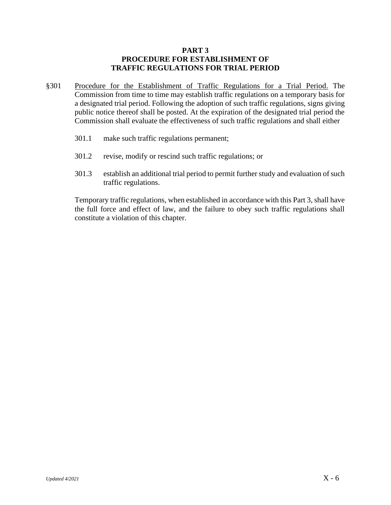# **PART 3 PROCEDURE FOR ESTABLISHMENT OF TRAFFIC REGULATIONS FOR TRIAL PERIOD**

- §301 Procedure for the Establishment of Traffic Regulations for a Trial Period. The Commission from time to time may establish traffic regulations on a temporary basis for a designated trial period. Following the adoption of such traffic regulations, signs giving public notice thereof shall be posted. At the expiration of the designated trial period the Commission shall evaluate the effectiveness of such traffic regulations and shall either
	- 301.1 make such traffic regulations permanent;
	- 301.2 revise, modify or rescind such traffic regulations; or
	- 301.3 establish an additional trial period to permit further study and evaluation of such traffic regulations.

Temporary traffic regulations, when established in accordance with this Part 3, shall have the full force and effect of law, and the failure to obey such traffic regulations shall constitute a violation of this chapter.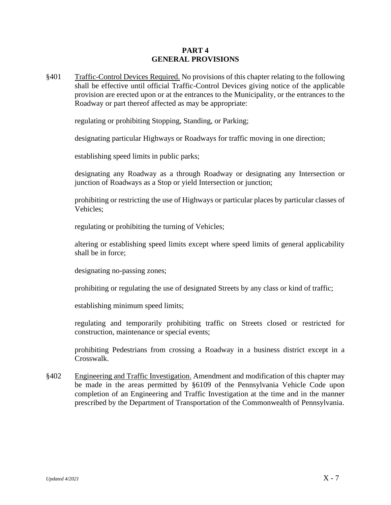### **PART 4 GENERAL PROVISIONS**

§401 Traffic-Control Devices Required. No provisions of this chapter relating to the following shall be effective until official Traffic-Control Devices giving notice of the applicable provision are erected upon or at the entrances to the Municipality, or the entrances to the Roadway or part thereof affected as may be appropriate:

regulating or prohibiting Stopping, Standing, or Parking;

designating particular Highways or Roadways for traffic moving in one direction;

establishing speed limits in public parks;

designating any Roadway as a through Roadway or designating any Intersection or junction of Roadways as a Stop or yield Intersection or junction;

prohibiting or restricting the use of Highways or particular places by particular classes of Vehicles;

regulating or prohibiting the turning of Vehicles;

altering or establishing speed limits except where speed limits of general applicability shall be in force;

designating no-passing zones;

prohibiting or regulating the use of designated Streets by any class or kind of traffic;

establishing minimum speed limits;

regulating and temporarily prohibiting traffic on Streets closed or restricted for construction, maintenance or special events;

prohibiting Pedestrians from crossing a Roadway in a business district except in a Crosswalk.

§402 Engineering and Traffic Investigation. Amendment and modification of this chapter may be made in the areas permitted by §6109 of the Pennsylvania Vehicle Code upon completion of an Engineering and Traffic Investigation at the time and in the manner prescribed by the Department of Transportation of the Commonwealth of Pennsylvania.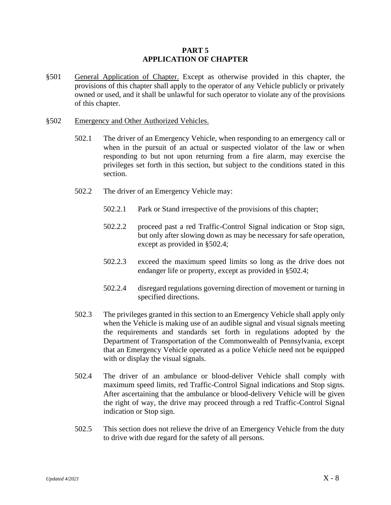### **PART 5 APPLICATION OF CHAPTER**

§501 General Application of Chapter. Except as otherwise provided in this chapter, the provisions of this chapter shall apply to the operator of any Vehicle publicly or privately owned or used, and it shall be unlawful for such operator to violate any of the provisions of this chapter.

#### §502 Emergency and Other Authorized Vehicles.

- 502.1 The driver of an Emergency Vehicle, when responding to an emergency call or when in the pursuit of an actual or suspected violator of the law or when responding to but not upon returning from a fire alarm, may exercise the privileges set forth in this section, but subject to the conditions stated in this section.
- 502.2 The driver of an Emergency Vehicle may:
	- 502.2.1 Park or Stand irrespective of the provisions of this chapter;
	- 502.2.2 proceed past a red Traffic-Control Signal indication or Stop sign, but only after slowing down as may be necessary for safe operation, except as provided in §502.4;
	- 502.2.3 exceed the maximum speed limits so long as the drive does not endanger life or property, except as provided in §502.4;
	- 502.2.4 disregard regulations governing direction of movement or turning in specified directions.
- 502.3 The privileges granted in this section to an Emergency Vehicle shall apply only when the Vehicle is making use of an audible signal and visual signals meeting the requirements and standards set forth in regulations adopted by the Department of Transportation of the Commonwealth of Pennsylvania, except that an Emergency Vehicle operated as a police Vehicle need not be equipped with or display the visual signals.
- 502.4 The driver of an ambulance or blood-deliver Vehicle shall comply with maximum speed limits, red Traffic-Control Signal indications and Stop signs. After ascertaining that the ambulance or blood-delivery Vehicle will be given the right of way, the drive may proceed through a red Traffic-Control Signal indication or Stop sign.
- 502.5 This section does not relieve the drive of an Emergency Vehicle from the duty to drive with due regard for the safety of all persons.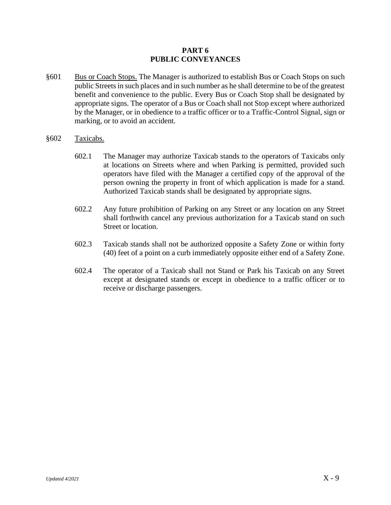### **PART 6 PUBLIC CONVEYANCES**

- §601 Bus or Coach Stops. The Manager is authorized to establish Bus or Coach Stops on such public Streets in such places and in such number as he shall determine to be of the greatest benefit and convenience to the public. Every Bus or Coach Stop shall be designated by appropriate signs. The operator of a Bus or Coach shall not Stop except where authorized by the Manager, or in obedience to a traffic officer or to a Traffic-Control Signal, sign or marking, or to avoid an accident.
- §602 Taxicabs.
	- 602.1 The Manager may authorize Taxicab stands to the operators of Taxicabs only at locations on Streets where and when Parking is permitted, provided such operators have filed with the Manager a certified copy of the approval of the person owning the property in front of which application is made for a stand. Authorized Taxicab stands shall be designated by appropriate signs.
	- 602.2 Any future prohibition of Parking on any Street or any location on any Street shall forthwith cancel any previous authorization for a Taxicab stand on such Street or location.
	- 602.3 Taxicab stands shall not be authorized opposite a Safety Zone or within forty (40) feet of a point on a curb immediately opposite either end of a Safety Zone.
	- 602.4 The operator of a Taxicab shall not Stand or Park his Taxicab on any Street except at designated stands or except in obedience to a traffic officer or to receive or discharge passengers.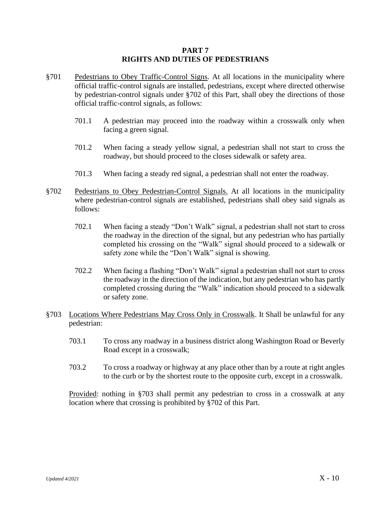#### **PART 7 RIGHTS AND DUTIES OF PEDESTRIANS**

- §701 Pedestrians to Obey Traffic-Control Signs. At all locations in the municipality where official traffic-control signals are installed, pedestrians, except where directed otherwise by pedestrian-control signals under §702 of this Part, shall obey the directions of those official traffic-control signals, as follows:
	- 701.1 A pedestrian may proceed into the roadway within a crosswalk only when facing a green signal.
	- 701.2 When facing a steady yellow signal, a pedestrian shall not start to cross the roadway, but should proceed to the closes sidewalk or safety area.
	- 701.3 When facing a steady red signal, a pedestrian shall not enter the roadway.
- §702 Pedestrians to Obey Pedestrian-Control Signals. At all locations in the municipality where pedestrian-control signals are established, pedestrians shall obey said signals as follows:
	- 702.1 When facing a steady "Don't Walk" signal, a pedestrian shall not start to cross the roadway in the direction of the signal, but any pedestrian who has partially completed his crossing on the "Walk" signal should proceed to a sidewalk or safety zone while the "Don't Walk" signal is showing.
	- 702.2 When facing a flashing "Don't Walk" signal a pedestrian shall not start to cross the roadway in the direction of the indication, but any pedestrian who has partly completed crossing during the "Walk" indication should proceed to a sidewalk or safety zone.
- §703 Locations Where Pedestrians May Cross Only in Crosswalk. It Shall be unlawful for any pedestrian:
	- 703.1 To cross any roadway in a business district along Washington Road or Beverly Road except in a crosswalk;
	- 703.2 To cross a roadway or highway at any place other than by a route at right angles to the curb or by the shortest route to the opposite curb, except in a crosswalk.

Provided: nothing in §703 shall permit any pedestrian to cross in a crosswalk at any location where that crossing is prohibited by §702 of this Part.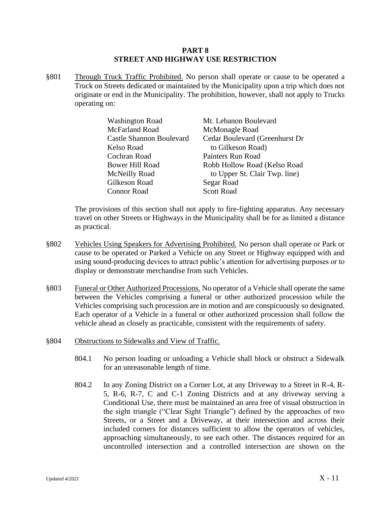#### **PART 8 STREET AND HIGHWAY USE RESTRICTION**

§801 Through Truck Traffic Prohibited. No person shall operate or cause to be operated a Truck on Streets dedicated or maintained by the Municipality upon a trip which does not originate or end in the Municipality. The prohibition, however, shall not apply to Trucks operating on:

| <b>Washington Road</b>          | Mt. Lebanon Boulevard          |
|---------------------------------|--------------------------------|
| McFarland Road                  | McMonagle Road                 |
| <b>Castle Shannon Boulevard</b> | Cedar Boulevard (Greenhurst Dr |
| Kelso Road                      | to Gilkeson Road)              |
| Cochran Road                    | Painters Run Road              |
| <b>Bower Hill Road</b>          | Robb Hollow Road (Kelso Road   |
| McNeilly Road                   | to Upper St. Clair Twp. line)  |
| Gilkeson Road                   | Segar Road                     |
| <b>Connor Road</b>              | <b>Scott Road</b>              |

The provisions of this section shall not apply to fire-fighting apparatus. Any necessary travel on other Streets or Highways in the Municipality shall be for as limited a distance as practical.

- §802 Vehicles Using Speakers for Advertising Prohibited. No person shall operate or Park or cause to be operated or Parked a Vehicle on any Street or Highway equipped with and using sound-producing devices to attract public's attention for advertising purposes or to display or demonstrate merchandise from such Vehicles.
- §803 Funeral or Other Authorized Processions. No operator of a Vehicle shall operate the same between the Vehicles comprising a funeral or other authorized procession while the Vehicles comprising such procession are in motion and are conspicuously so designated. Each operator of a Vehicle in a funeral or other authorized procession shall follow the vehicle ahead as closely as practicable, consistent with the requirements of safety.
- §804 Obstructions to Sidewalks and View of Traffic.
	- 804.1 No person loading or unloading a Vehicle shall block or obstruct a Sidewalk for an unreasonable length of time.
	- 804.2 In any Zoning District on a Corner Lot, at any Driveway to a Street in R-4, R-5, R-6, R-7, C and C-1 Zoning Districts and at any driveway serving a Conditional Use, there must be maintained an area free of visual obstruction in the sight triangle ("Clear Sight Triangle") defined by the approaches of two Streets, or a Street and a Driveway, at their intersection and across their included corners for distances sufficient to allow the operators of vehicles, approaching simultaneously, to see each other. The distances required for an uncontrolled intersection and a controlled intersection are shown on the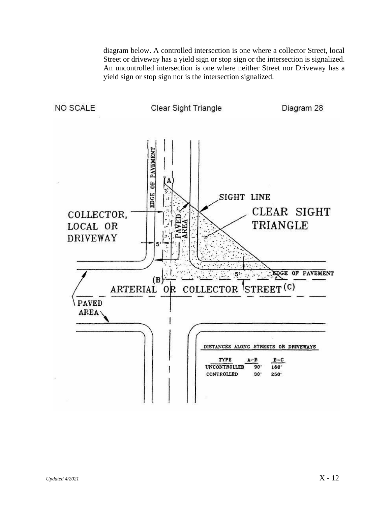diagram below. A controlled intersection is one where a collector Street, local Street or driveway has a yield sign or stop sign or the intersection is signalized. An uncontrolled intersection is one where neither Street nor Driveway has a yield sign or stop sign nor is the intersection signalized.

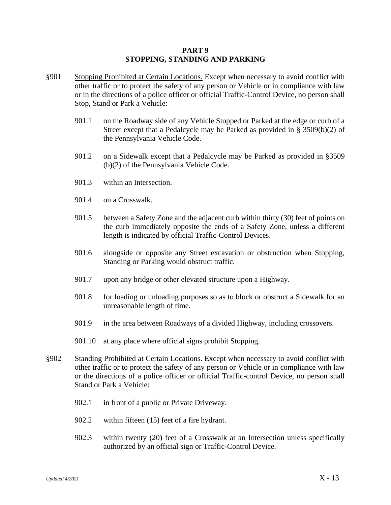### **PART 9 STOPPING, STANDING AND PARKING**

- §901 Stopping Prohibited at Certain Locations. Except when necessary to avoid conflict with other traffic or to protect the safety of any person or Vehicle or in compliance with law or in the directions of a police officer or official Traffic-Control Device, no person shall Stop, Stand or Park a Vehicle:
	- 901.1 on the Roadway side of any Vehicle Stopped or Parked at the edge or curb of a Street except that a Pedalcycle may be Parked as provided in § 3509(b)(2) of the Pennsylvania Vehicle Code.
	- 901.2 on a Sidewalk except that a Pedalcycle may be Parked as provided in §3509 (b)(2) of the Pennsylvania Vehicle Code.
	- 901.3 within an Intersection.
	- 901.4 on a Crosswalk.
	- 901.5 between a Safety Zone and the adjacent curb within thirty (30) feet of points on the curb immediately opposite the ends of a Safety Zone, unless a different length is indicated by official Traffic-Control Devices.
	- 901.6 alongside or opposite any Street excavation or obstruction when Stopping, Standing or Parking would obstruct traffic.
	- 901.7 upon any bridge or other elevated structure upon a Highway.
	- 901.8 for loading or unloading purposes so as to block or obstruct a Sidewalk for an unreasonable length of time.
	- 901.9 in the area between Roadways of a divided Highway, including crossovers.
	- 901.10 at any place where official signs prohibit Stopping.
- §902 Standing Prohibited at Certain Locations. Except when necessary to avoid conflict with other traffic or to protect the safety of any person or Vehicle or in compliance with law or the directions of a police officer or official Traffic-control Device, no person shall Stand or Park a Vehicle:
	- 902.1 in front of a public or Private Driveway.
	- 902.2 within fifteen (15) feet of a fire hydrant.
	- 902.3 within twenty (20) feet of a Crosswalk at an Intersection unless specifically authorized by an official sign or Traffic-Control Device.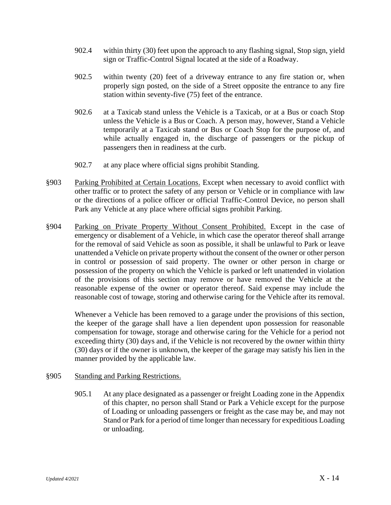- 902.4 within thirty (30) feet upon the approach to any flashing signal, Stop sign, yield sign or Traffic-Control Signal located at the side of a Roadway.
- 902.5 within twenty (20) feet of a driveway entrance to any fire station or, when properly sign posted, on the side of a Street opposite the entrance to any fire station within seventy-five (75) feet of the entrance.
- 902.6 at a Taxicab stand unless the Vehicle is a Taxicab, or at a Bus or coach Stop unless the Vehicle is a Bus or Coach. A person may, however, Stand a Vehicle temporarily at a Taxicab stand or Bus or Coach Stop for the purpose of, and while actually engaged in, the discharge of passengers or the pickup of passengers then in readiness at the curb.
- 902.7 at any place where official signs prohibit Standing.
- §903 Parking Prohibited at Certain Locations. Except when necessary to avoid conflict with other traffic or to protect the safety of any person or Vehicle or in compliance with law or the directions of a police officer or official Traffic-Control Device, no person shall Park any Vehicle at any place where official signs prohibit Parking.
- §904 Parking on Private Property Without Consent Prohibited. Except in the case of emergency or disablement of a Vehicle, in which case the operator thereof shall arrange for the removal of said Vehicle as soon as possible, it shall be unlawful to Park or leave unattended a Vehicle on private property without the consent of the owner or other person in control or possession of said property. The owner or other person in charge or possession of the property on which the Vehicle is parked or left unattended in violation of the provisions of this section may remove or have removed the Vehicle at the reasonable expense of the owner or operator thereof. Said expense may include the reasonable cost of towage, storing and otherwise caring for the Vehicle after its removal.

Whenever a Vehicle has been removed to a garage under the provisions of this section, the keeper of the garage shall have a lien dependent upon possession for reasonable compensation for towage, storage and otherwise caring for the Vehicle for a period not exceeding thirty (30) days and, if the Vehicle is not recovered by the owner within thirty (30) days or if the owner is unknown, the keeper of the garage may satisfy his lien in the manner provided by the applicable law.

## §905 Standing and Parking Restrictions.

905.1 At any place designated as a passenger or freight Loading zone in the Appendix of this chapter, no person shall Stand or Park a Vehicle except for the purpose of Loading or unloading passengers or freight as the case may be, and may not Stand or Park for a period of time longer than necessary for expeditious Loading or unloading.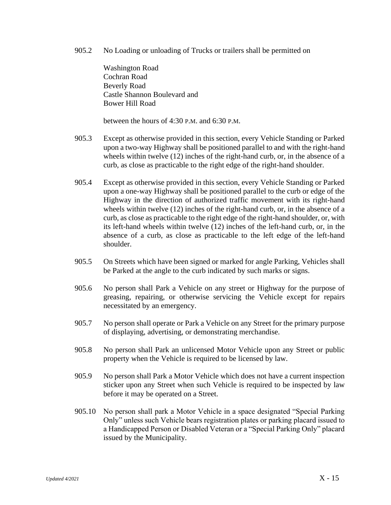905.2 No Loading or unloading of Trucks or trailers shall be permitted on

Washington Road Cochran Road Beverly Road Castle Shannon Boulevard and Bower Hill Road

between the hours of 4:30 P.M. and 6:30 P.M.

- 905.3 Except as otherwise provided in this section, every Vehicle Standing or Parked upon a two-way Highway shall be positioned parallel to and with the right-hand wheels within twelve (12) inches of the right-hand curb, or, in the absence of a curb, as close as practicable to the right edge of the right-hand shoulder.
- 905.4 Except as otherwise provided in this section, every Vehicle Standing or Parked upon a one-way Highway shall be positioned parallel to the curb or edge of the Highway in the direction of authorized traffic movement with its right-hand wheels within twelve (12) inches of the right-hand curb, or, in the absence of a curb, as close as practicable to the right edge of the right-hand shoulder, or, with its left-hand wheels within twelve (12) inches of the left-hand curb, or, in the absence of a curb, as close as practicable to the left edge of the left-hand shoulder.
- 905.5 On Streets which have been signed or marked for angle Parking, Vehicles shall be Parked at the angle to the curb indicated by such marks or signs.
- 905.6 No person shall Park a Vehicle on any street or Highway for the purpose of greasing, repairing, or otherwise servicing the Vehicle except for repairs necessitated by an emergency.
- 905.7 No person shall operate or Park a Vehicle on any Street for the primary purpose of displaying, advertising, or demonstrating merchandise.
- 905.8 No person shall Park an unlicensed Motor Vehicle upon any Street or public property when the Vehicle is required to be licensed by law.
- 905.9 No person shall Park a Motor Vehicle which does not have a current inspection sticker upon any Street when such Vehicle is required to be inspected by law before it may be operated on a Street.
- 905.10 No person shall park a Motor Vehicle in a space designated "Special Parking Only" unless such Vehicle bears registration plates or parking placard issued to a Handicapped Person or Disabled Veteran or a "Special Parking Only" placard issued by the Municipality.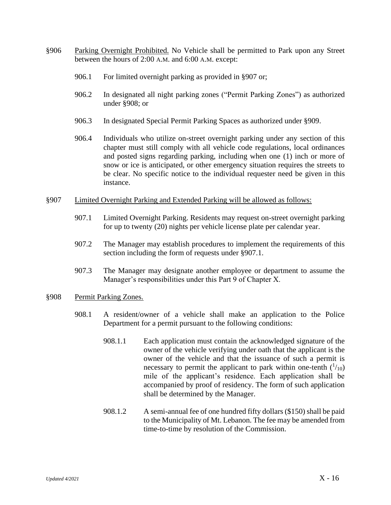- §906 Parking Overnight Prohibited. No Vehicle shall be permitted to Park upon any Street between the hours of 2:00 A.M. and 6:00 A.M. except:
	- 906.1 For limited overnight parking as provided in §907 or;
	- 906.2 In designated all night parking zones ("Permit Parking Zones") as authorized under §908; or
	- 906.3 In designated Special Permit Parking Spaces as authorized under §909.
	- 906.4 Individuals who utilize on-street overnight parking under any section of this chapter must still comply with all vehicle code regulations, local ordinances and posted signs regarding parking, including when one (1) inch or more of snow or ice is anticipated, or other emergency situation requires the streets to be clear. No specific notice to the individual requester need be given in this instance.
- §907 Limited Overnight Parking and Extended Parking will be allowed as follows:
	- 907.1 Limited Overnight Parking. Residents may request on-street overnight parking for up to twenty (20) nights per vehicle license plate per calendar year.
	- 907.2 The Manager may establish procedures to implement the requirements of this section including the form of requests under §907.1.
	- 907.3 The Manager may designate another employee or department to assume the Manager's responsibilities under this Part 9 of Chapter X.
- §908 Permit Parking Zones.
	- 908.1 A resident/owner of a vehicle shall make an application to the Police Department for a permit pursuant to the following conditions:
		- 908.1.1 Each application must contain the acknowledged signature of the owner of the vehicle verifying under oath that the applicant is the owner of the vehicle and that the issuance of such a permit is necessary to permit the applicant to park within one-tenth  $(^{1}/_{10})$ mile of the applicant's residence. Each application shall be accompanied by proof of residency. The form of such application shall be determined by the Manager.
		- 908.1.2 A semi-annual fee of one hundred fifty dollars (\$150) shall be paid to the Municipality of Mt. Lebanon. The fee may be amended from time-to-time by resolution of the Commission.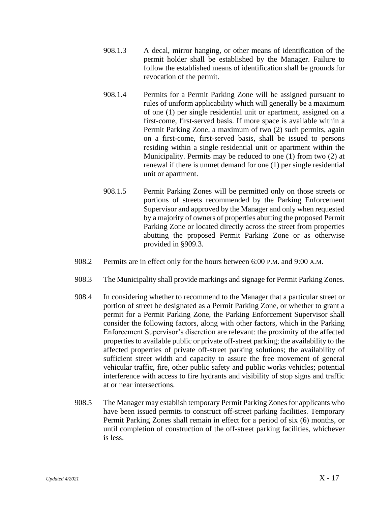- 908.1.3 A decal, mirror hanging, or other means of identification of the permit holder shall be established by the Manager. Failure to follow the established means of identification shall be grounds for revocation of the permit.
- 908.1.4 Permits for a Permit Parking Zone will be assigned pursuant to rules of uniform applicability which will generally be a maximum of one (1) per single residential unit or apartment, assigned on a first-come, first-served basis. If more space is available within a Permit Parking Zone, a maximum of two (2) such permits, again on a first-come, first-served basis, shall be issued to persons residing within a single residential unit or apartment within the Municipality. Permits may be reduced to one (1) from two (2) at renewal if there is unmet demand for one (1) per single residential unit or apartment.
- 908.1.5 Permit Parking Zones will be permitted only on those streets or portions of streets recommended by the Parking Enforcement Supervisor and approved by the Manager and only when requested by a majority of owners of properties abutting the proposed Permit Parking Zone or located directly across the street from properties abutting the proposed Permit Parking Zone or as otherwise provided in §909.3.
- 908.2 Permits are in effect only for the hours between 6:00 P.M. and 9:00 A.M.
- 908.3 The Municipality shall provide markings and signage for Permit Parking Zones.
- 908.4 In considering whether to recommend to the Manager that a particular street or portion of street be designated as a Permit Parking Zone, or whether to grant a permit for a Permit Parking Zone, the Parking Enforcement Supervisor shall consider the following factors, along with other factors, which in the Parking Enforcement Supervisor's discretion are relevant: the proximity of the affected properties to available public or private off-street parking; the availability to the affected properties of private off-street parking solutions; the availability of sufficient street width and capacity to assure the free movement of general vehicular traffic, fire, other public safety and public works vehicles; potential interference with access to fire hydrants and visibility of stop signs and traffic at or near intersections.
- 908.5 The Manager may establish temporary Permit Parking Zones for applicants who have been issued permits to construct off-street parking facilities. Temporary Permit Parking Zones shall remain in effect for a period of six (6) months, or until completion of construction of the off-street parking facilities, whichever is less.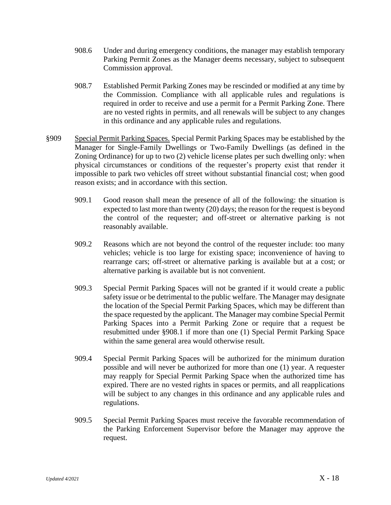- 908.6 Under and during emergency conditions, the manager may establish temporary Parking Permit Zones as the Manager deems necessary, subject to subsequent Commission approval.
- 908.7 Established Permit Parking Zones may be rescinded or modified at any time by the Commission. Compliance with all applicable rules and regulations is required in order to receive and use a permit for a Permit Parking Zone. There are no vested rights in permits, and all renewals will be subject to any changes in this ordinance and any applicable rules and regulations.
- §909 Special Permit Parking Spaces. Special Permit Parking Spaces may be established by the Manager for Single-Family Dwellings or Two-Family Dwellings (as defined in the Zoning Ordinance) for up to two (2) vehicle license plates per such dwelling only: when physical circumstances or conditions of the requester's property exist that render it impossible to park two vehicles off street without substantial financial cost; when good reason exists; and in accordance with this section.
	- 909.1 Good reason shall mean the presence of all of the following: the situation is expected to last more than twenty (20) days; the reason for the request is beyond the control of the requester; and off-street or alternative parking is not reasonably available.
	- 909.2 Reasons which are not beyond the control of the requester include: too many vehicles; vehicle is too large for existing space; inconvenience of having to rearrange cars; off-street or alternative parking is available but at a cost; or alternative parking is available but is not convenient.
	- 909.3 Special Permit Parking Spaces will not be granted if it would create a public safety issue or be detrimental to the public welfare. The Manager may designate the location of the Special Permit Parking Spaces, which may be different than the space requested by the applicant. The Manager may combine Special Permit Parking Spaces into a Permit Parking Zone or require that a request be resubmitted under §908.1 if more than one (1) Special Permit Parking Space within the same general area would otherwise result.
	- 909.4 Special Permit Parking Spaces will be authorized for the minimum duration possible and will never be authorized for more than one (1) year. A requester may reapply for Special Permit Parking Space when the authorized time has expired. There are no vested rights in spaces or permits, and all reapplications will be subject to any changes in this ordinance and any applicable rules and regulations.
	- 909.5 Special Permit Parking Spaces must receive the favorable recommendation of the Parking Enforcement Supervisor before the Manager may approve the request.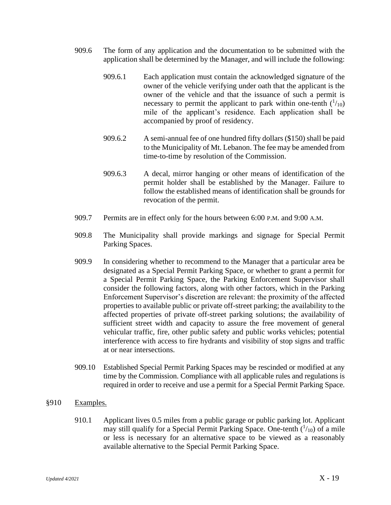- 909.6 The form of any application and the documentation to be submitted with the application shall be determined by the Manager, and will include the following:
	- 909.6.1 Each application must contain the acknowledged signature of the owner of the vehicle verifying under oath that the applicant is the owner of the vehicle and that the issuance of such a permit is necessary to permit the applicant to park within one-tenth  $(^{1}/_{10})$ mile of the applicant's residence. Each application shall be accompanied by proof of residency.
	- 909.6.2 A semi-annual fee of one hundred fifty dollars (\$150) shall be paid to the Municipality of Mt. Lebanon. The fee may be amended from time-to-time by resolution of the Commission.
	- 909.6.3 A decal, mirror hanging or other means of identification of the permit holder shall be established by the Manager. Failure to follow the established means of identification shall be grounds for revocation of the permit.
- 909.7 Permits are in effect only for the hours between 6:00 P.M. and 9:00 A.M.
- 909.8 The Municipality shall provide markings and signage for Special Permit Parking Spaces.
- 909.9 In considering whether to recommend to the Manager that a particular area be designated as a Special Permit Parking Space, or whether to grant a permit for a Special Permit Parking Space, the Parking Enforcement Supervisor shall consider the following factors, along with other factors, which in the Parking Enforcement Supervisor's discretion are relevant: the proximity of the affected properties to available public or private off-street parking; the availability to the affected properties of private off-street parking solutions; the availability of sufficient street width and capacity to assure the free movement of general vehicular traffic, fire, other public safety and public works vehicles; potential interference with access to fire hydrants and visibility of stop signs and traffic at or near intersections.
- 909.10 Established Special Permit Parking Spaces may be rescinded or modified at any time by the Commission. Compliance with all applicable rules and regulations is required in order to receive and use a permit for a Special Permit Parking Space.
- §910 Examples.
	- 910.1 Applicant lives 0.5 miles from a public garage or public parking lot. Applicant may still qualify for a Special Permit Parking Space. One-tenth  $(^{1}/_{10})$  of a mile or less is necessary for an alternative space to be viewed as a reasonably available alternative to the Special Permit Parking Space.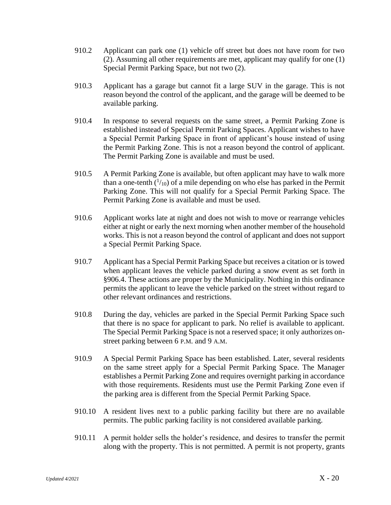- 910.2 Applicant can park one (1) vehicle off street but does not have room for two (2). Assuming all other requirements are met, applicant may qualify for one (1) Special Permit Parking Space, but not two (2).
- 910.3 Applicant has a garage but cannot fit a large SUV in the garage. This is not reason beyond the control of the applicant, and the garage will be deemed to be available parking.
- 910.4 In response to several requests on the same street, a Permit Parking Zone is established instead of Special Permit Parking Spaces. Applicant wishes to have a Special Permit Parking Space in front of applicant's house instead of using the Permit Parking Zone. This is not a reason beyond the control of applicant. The Permit Parking Zone is available and must be used.
- 910.5 A Permit Parking Zone is available, but often applicant may have to walk more than a one-tenth  $(1/_{10})$  of a mile depending on who else has parked in the Permit Parking Zone. This will not qualify for a Special Permit Parking Space. The Permit Parking Zone is available and must be used.
- 910.6 Applicant works late at night and does not wish to move or rearrange vehicles either at night or early the next morning when another member of the household works. This is not a reason beyond the control of applicant and does not support a Special Permit Parking Space.
- 910.7 Applicant has a Special Permit Parking Space but receives a citation or is towed when applicant leaves the vehicle parked during a snow event as set forth in §906.4. These actions are proper by the Municipality. Nothing in this ordinance permits the applicant to leave the vehicle parked on the street without regard to other relevant ordinances and restrictions.
- 910.8 During the day, vehicles are parked in the Special Permit Parking Space such that there is no space for applicant to park. No relief is available to applicant. The Special Permit Parking Space is not a reserved space; it only authorizes onstreet parking between 6 P.M. and 9 A.M.
- 910.9 A Special Permit Parking Space has been established. Later, several residents on the same street apply for a Special Permit Parking Space. The Manager establishes a Permit Parking Zone and requires overnight parking in accordance with those requirements. Residents must use the Permit Parking Zone even if the parking area is different from the Special Permit Parking Space.
- 910.10 A resident lives next to a public parking facility but there are no available permits. The public parking facility is not considered available parking.
- 910.11 A permit holder sells the holder's residence, and desires to transfer the permit along with the property. This is not permitted. A permit is not property, grants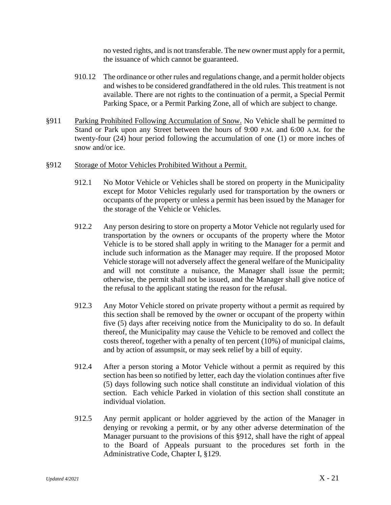no vested rights, and is not transferable. The new owner must apply for a permit, the issuance of which cannot be guaranteed.

- 910.12 The ordinance or other rules and regulations change, and a permit holder objects and wishes to be considered grandfathered in the old rules. This treatment is not available. There are not rights to the continuation of a permit, a Special Permit Parking Space, or a Permit Parking Zone, all of which are subject to change.
- §911 Parking Prohibited Following Accumulation of Snow. No Vehicle shall be permitted to Stand or Park upon any Street between the hours of 9:00 P.M. and 6:00 A.M. for the twenty-four (24) hour period following the accumulation of one (1) or more inches of snow and/or ice.
- §912 Storage of Motor Vehicles Prohibited Without a Permit.
	- 912.1 No Motor Vehicle or Vehicles shall be stored on property in the Municipality except for Motor Vehicles regularly used for transportation by the owners or occupants of the property or unless a permit has been issued by the Manager for the storage of the Vehicle or Vehicles.
	- 912.2 Any person desiring to store on property a Motor Vehicle not regularly used for transportation by the owners or occupants of the property where the Motor Vehicle is to be stored shall apply in writing to the Manager for a permit and include such information as the Manager may require. If the proposed Motor Vehicle storage will not adversely affect the general welfare of the Municipality and will not constitute a nuisance, the Manager shall issue the permit; otherwise, the permit shall not be issued, and the Manager shall give notice of the refusal to the applicant stating the reason for the refusal.
	- 912.3 Any Motor Vehicle stored on private property without a permit as required by this section shall be removed by the owner or occupant of the property within five (5) days after receiving notice from the Municipality to do so. In default thereof, the Municipality may cause the Vehicle to be removed and collect the costs thereof, together with a penalty of ten percent (10%) of municipal claims, and by action of assumpsit, or may seek relief by a bill of equity.
	- 912.4 After a person storing a Motor Vehicle without a permit as required by this section has been so notified by letter, each day the violation continues after five (5) days following such notice shall constitute an individual violation of this section. Each vehicle Parked in violation of this section shall constitute an individual violation.
	- 912.5 Any permit applicant or holder aggrieved by the action of the Manager in denying or revoking a permit, or by any other adverse determination of the Manager pursuant to the provisions of this §912, shall have the right of appeal to the Board of Appeals pursuant to the procedures set forth in the Administrative Code, Chapter I, §129.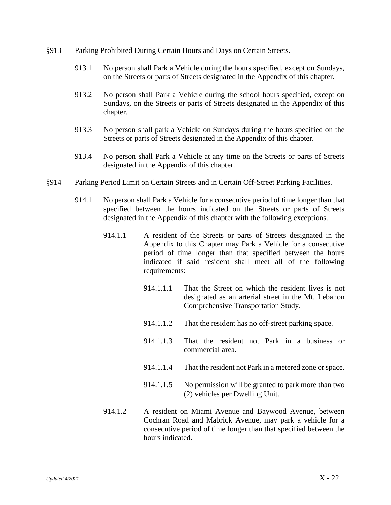#### §913 Parking Prohibited During Certain Hours and Days on Certain Streets.

- 913.1 No person shall Park a Vehicle during the hours specified, except on Sundays, on the Streets or parts of Streets designated in the Appendix of this chapter.
- 913.2 No person shall Park a Vehicle during the school hours specified, except on Sundays, on the Streets or parts of Streets designated in the Appendix of this chapter.
- 913.3 No person shall park a Vehicle on Sundays during the hours specified on the Streets or parts of Streets designated in the Appendix of this chapter.
- 913.4 No person shall Park a Vehicle at any time on the Streets or parts of Streets designated in the Appendix of this chapter.

#### §914 Parking Period Limit on Certain Streets and in Certain Off-Street Parking Facilities.

- 914.1 No person shall Park a Vehicle for a consecutive period of time longer than that specified between the hours indicated on the Streets or parts of Streets designated in the Appendix of this chapter with the following exceptions.
	- 914.1.1 A resident of the Streets or parts of Streets designated in the Appendix to this Chapter may Park a Vehicle for a consecutive period of time longer than that specified between the hours indicated if said resident shall meet all of the following requirements:
		- 914.1.1.1 That the Street on which the resident lives is not designated as an arterial street in the Mt. Lebanon Comprehensive Transportation Study.
		- 914.1.1.2 That the resident has no off-street parking space.
		- 914.1.1.3 That the resident not Park in a business or commercial area.
		- 914.1.1.4 That the resident not Park in a metered zone or space.
		- 914.1.1.5 No permission will be granted to park more than two (2) vehicles per Dwelling Unit.
	- 914.1.2 A resident on Miami Avenue and Baywood Avenue, between Cochran Road and Mabrick Avenue, may park a vehicle for a consecutive period of time longer than that specified between the hours indicated.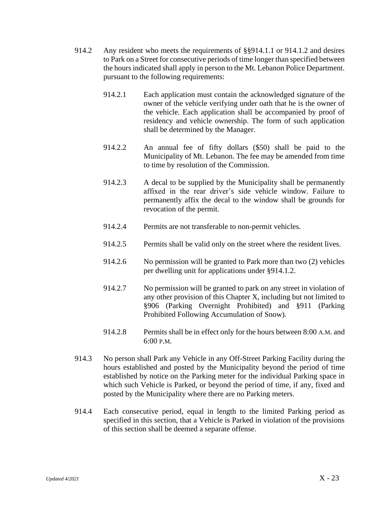- 914.2 Any resident who meets the requirements of §§914.1.1 or 914.1.2 and desires to Park on a Street for consecutive periods of time longer than specified between the hours indicated shall apply in person to the Mt. Lebanon Police Department. pursuant to the following requirements:
	- 914.2.1 Each application must contain the acknowledged signature of the owner of the vehicle verifying under oath that he is the owner of the vehicle. Each application shall be accompanied by proof of residency and vehicle ownership. The form of such application shall be determined by the Manager.
	- 914.2.2 An annual fee of fifty dollars (\$50) shall be paid to the Municipality of Mt. Lebanon. The fee may be amended from time to time by resolution of the Commission.
	- 914.2.3 A decal to be supplied by the Municipality shall be permanently affixed in the rear driver's side vehicle window. Failure to permanently affix the decal to the window shall be grounds for revocation of the permit.
	- 914.2.4 Permits are not transferable to non-permit vehicles.
	- 914.2.5 Permits shall be valid only on the street where the resident lives.
	- 914.2.6 No permission will be granted to Park more than two (2) vehicles per dwelling unit for applications under §914.1.2.
	- 914.2.7 No permission will be granted to park on any street in violation of any other provision of this Chapter X, including but not limited to §906 (Parking Overnight Prohibited) and §911 (Parking Prohibited Following Accumulation of Snow).
	- 914.2.8 Permits shall be in effect only for the hours between 8:00 A.M. and 6:00 P.M.
- 914.3 No person shall Park any Vehicle in any Off-Street Parking Facility during the hours established and posted by the Municipality beyond the period of time established by notice on the Parking meter for the individual Parking space in which such Vehicle is Parked, or beyond the period of time, if any, fixed and posted by the Municipality where there are no Parking meters.
- 914.4 Each consecutive period, equal in length to the limited Parking period as specified in this section, that a Vehicle is Parked in violation of the provisions of this section shall be deemed a separate offense.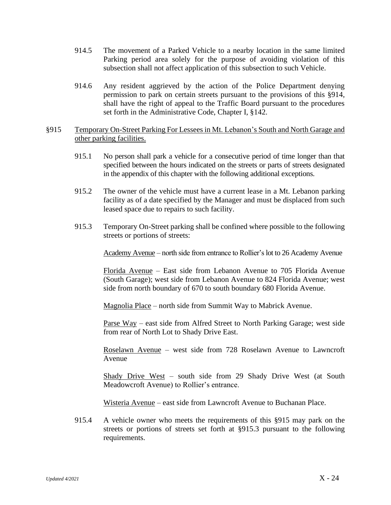- 914.5 The movement of a Parked Vehicle to a nearby location in the same limited Parking period area solely for the purpose of avoiding violation of this subsection shall not affect application of this subsection to such Vehicle.
- 914.6 Any resident aggrieved by the action of the Police Department denying permission to park on certain streets pursuant to the provisions of this §914, shall have the right of appeal to the Traffic Board pursuant to the procedures set forth in the Administrative Code, Chapter I, §142.

### §915 Temporary On-Street Parking For Lessees in Mt. Lebanon's South and North Garage and other parking facilities.

- 915.1 No person shall park a vehicle for a consecutive period of time longer than that specified between the hours indicated on the streets or parts of streets designated in the appendix of this chapter with the following additional exceptions.
- 915.2 The owner of the vehicle must have a current lease in a Mt. Lebanon parking facility as of a date specified by the Manager and must be displaced from such leased space due to repairs to such facility.
- 915.3 Temporary On-Street parking shall be confined where possible to the following streets or portions of streets:

Academy Avenue – north side from entrance to Rollier's lot to 26 Academy Avenue

Florida Avenue – East side from Lebanon Avenue to 705 Florida Avenue (South Garage); west side from Lebanon Avenue to 824 Florida Avenue; west side from north boundary of 670 to south boundary 680 Florida Avenue.

Magnolia Place – north side from Summit Way to Mabrick Avenue.

Parse Way – east side from Alfred Street to North Parking Garage; west side from rear of North Lot to Shady Drive East.

Roselawn Avenue – west side from 728 Roselawn Avenue to Lawncroft Avenue

Shady Drive West – south side from 29 Shady Drive West (at South Meadowcroft Avenue) to Rollier's entrance.

Wisteria Avenue – east side from Lawncroft Avenue to Buchanan Place.

915.4 A vehicle owner who meets the requirements of this §915 may park on the streets or portions of streets set forth at §915.3 pursuant to the following requirements.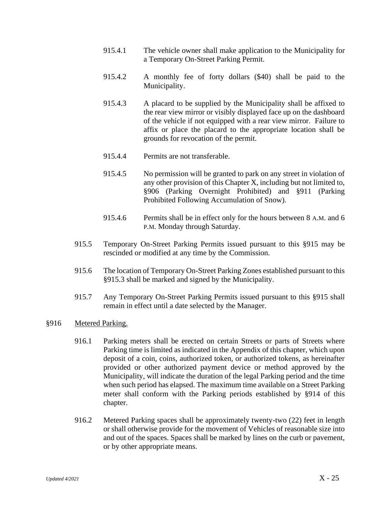- 915.4.1 The vehicle owner shall make application to the Municipality for a Temporary On-Street Parking Permit.
- 915.4.2 A monthly fee of forty dollars (\$40) shall be paid to the Municipality.
- 915.4.3 A placard to be supplied by the Municipality shall be affixed to the rear view mirror or visibly displayed face up on the dashboard of the vehicle if not equipped with a rear view mirror. Failure to affix or place the placard to the appropriate location shall be grounds for revocation of the permit.
- 915.4.4 Permits are not transferable.
- 915.4.5 No permission will be granted to park on any street in violation of any other provision of this Chapter X, including but not limited to, §906 (Parking Overnight Prohibited) and §911 (Parking Prohibited Following Accumulation of Snow).
- 915.4.6 Permits shall be in effect only for the hours between 8 A.M. and 6 P.M. Monday through Saturday.
- 915.5 Temporary On-Street Parking Permits issued pursuant to this §915 may be rescinded or modified at any time by the Commission.
- 915.6 The location of Temporary On-Street Parking Zones established pursuant to this §915.3 shall be marked and signed by the Municipality.
- 915.7 Any Temporary On-Street Parking Permits issued pursuant to this §915 shall remain in effect until a date selected by the Manager.

#### §916 Metered Parking.

- 916.1 Parking meters shall be erected on certain Streets or parts of Streets where Parking time is limited as indicated in the Appendix of this chapter, which upon deposit of a coin, coins, authorized token, or authorized tokens, as hereinafter provided or other authorized payment device or method approved by the Municipality, will indicate the duration of the legal Parking period and the time when such period has elapsed. The maximum time available on a Street Parking meter shall conform with the Parking periods established by §914 of this chapter.
- 916.2 Metered Parking spaces shall be approximately twenty-two (22) feet in length or shall otherwise provide for the movement of Vehicles of reasonable size into and out of the spaces. Spaces shall be marked by lines on the curb or pavement, or by other appropriate means.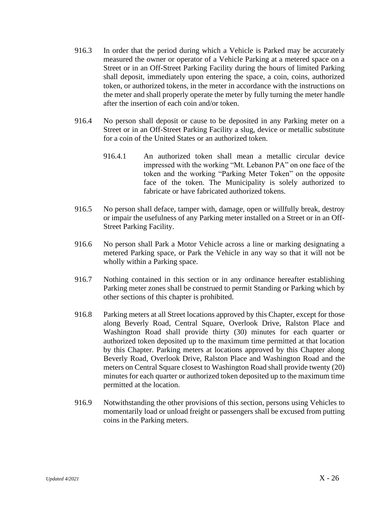- 916.3 In order that the period during which a Vehicle is Parked may be accurately measured the owner or operator of a Vehicle Parking at a metered space on a Street or in an Off-Street Parking Facility during the hours of limited Parking shall deposit, immediately upon entering the space, a coin, coins, authorized token, or authorized tokens, in the meter in accordance with the instructions on the meter and shall properly operate the meter by fully turning the meter handle after the insertion of each coin and/or token.
- 916.4 No person shall deposit or cause to be deposited in any Parking meter on a Street or in an Off-Street Parking Facility a slug, device or metallic substitute for a coin of the United States or an authorized token.
	- 916.4.1 An authorized token shall mean a metallic circular device impressed with the working "Mt. Lebanon PA" on one face of the token and the working "Parking Meter Token" on the opposite face of the token. The Municipality is solely authorized to fabricate or have fabricated authorized tokens.
- 916.5 No person shall deface, tamper with, damage, open or willfully break, destroy or impair the usefulness of any Parking meter installed on a Street or in an Off-Street Parking Facility.
- 916.6 No person shall Park a Motor Vehicle across a line or marking designating a metered Parking space, or Park the Vehicle in any way so that it will not be wholly within a Parking space.
- 916.7 Nothing contained in this section or in any ordinance hereafter establishing Parking meter zones shall be construed to permit Standing or Parking which by other sections of this chapter is prohibited.
- 916.8 Parking meters at all Street locations approved by this Chapter, except for those along Beverly Road, Central Square, Overlook Drive, Ralston Place and Washington Road shall provide thirty (30) minutes for each quarter or authorized token deposited up to the maximum time permitted at that location by this Chapter. Parking meters at locations approved by this Chapter along Beverly Road, Overlook Drive, Ralston Place and Washington Road and the meters on Central Square closest to Washington Road shall provide twenty (20) minutes for each quarter or authorized token deposited up to the maximum time permitted at the location.
- 916.9 Notwithstanding the other provisions of this section, persons using Vehicles to momentarily load or unload freight or passengers shall be excused from putting coins in the Parking meters.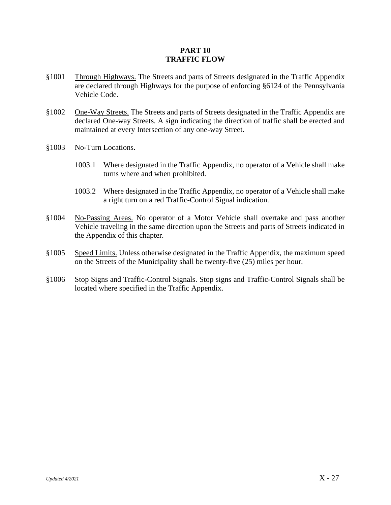# **PART 10 TRAFFIC FLOW**

- §1001 Through Highways. The Streets and parts of Streets designated in the Traffic Appendix are declared through Highways for the purpose of enforcing §6124 of the Pennsylvania Vehicle Code.
- §1002 One-Way Streets. The Streets and parts of Streets designated in the Traffic Appendix are declared One-way Streets. A sign indicating the direction of traffic shall be erected and maintained at every Intersection of any one-way Street.
- §1003 No-Turn Locations.
	- 1003.1 Where designated in the Traffic Appendix, no operator of a Vehicle shall make turns where and when prohibited.
	- 1003.2 Where designated in the Traffic Appendix, no operator of a Vehicle shall make a right turn on a red Traffic-Control Signal indication.
- §1004 No-Passing Areas. No operator of a Motor Vehicle shall overtake and pass another Vehicle traveling in the same direction upon the Streets and parts of Streets indicated in the Appendix of this chapter.
- §1005 Speed Limits. Unless otherwise designated in the Traffic Appendix, the maximum speed on the Streets of the Municipality shall be twenty-five (25) miles per hour.
- §1006 Stop Signs and Traffic-Control Signals. Stop signs and Traffic-Control Signals shall be located where specified in the Traffic Appendix.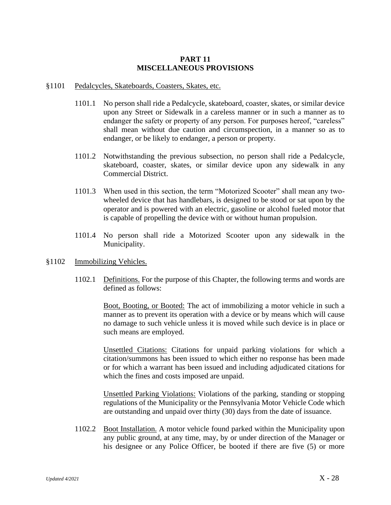# **PART 11 MISCELLANEOUS PROVISIONS**

- §1101 Pedalcycles, Skateboards, Coasters, Skates, etc.
	- 1101.1 No person shall ride a Pedalcycle, skateboard, coaster, skates, or similar device upon any Street or Sidewalk in a careless manner or in such a manner as to endanger the safety or property of any person. For purposes hereof, "careless" shall mean without due caution and circumspection, in a manner so as to endanger, or be likely to endanger, a person or property.
	- 1101.2 Notwithstanding the previous subsection, no person shall ride a Pedalcycle, skateboard, coaster, skates, or similar device upon any sidewalk in any Commercial District.
	- 1101.3 When used in this section, the term "Motorized Scooter" shall mean any twowheeled device that has handlebars, is designed to be stood or sat upon by the operator and is powered with an electric, gasoline or alcohol fueled motor that is capable of propelling the device with or without human propulsion.
	- 1101.4 No person shall ride a Motorized Scooter upon any sidewalk in the Municipality.
- §1102 Immobilizing Vehicles.
	- 1102.1 Definitions. For the purpose of this Chapter, the following terms and words are defined as follows:

Boot, Booting, or Booted: The act of immobilizing a motor vehicle in such a manner as to prevent its operation with a device or by means which will cause no damage to such vehicle unless it is moved while such device is in place or such means are employed.

Unsettled Citations: Citations for unpaid parking violations for which a citation/summons has been issued to which either no response has been made or for which a warrant has been issued and including adjudicated citations for which the fines and costs imposed are unpaid.

Unsettled Parking Violations: Violations of the parking, standing or stopping regulations of the Municipality or the Pennsylvania Motor Vehicle Code which are outstanding and unpaid over thirty (30) days from the date of issuance.

1102.2 Boot Installation. A motor vehicle found parked within the Municipality upon any public ground, at any time, may, by or under direction of the Manager or his designee or any Police Officer, be booted if there are five (5) or more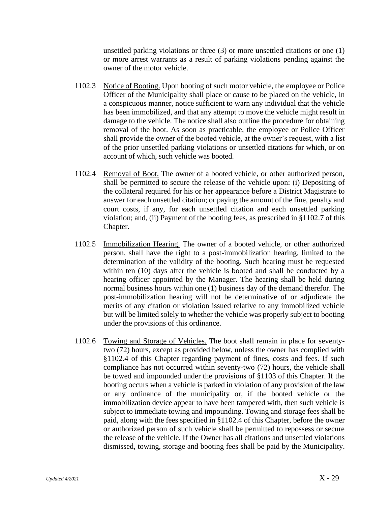unsettled parking violations or three (3) or more unsettled citations or one (1) or more arrest warrants as a result of parking violations pending against the owner of the motor vehicle.

- 1102.3 Notice of Booting. Upon booting of such motor vehicle, the employee or Police Officer of the Municipality shall place or cause to be placed on the vehicle, in a conspicuous manner, notice sufficient to warn any individual that the vehicle has been immobilized, and that any attempt to move the vehicle might result in damage to the vehicle. The notice shall also outline the procedure for obtaining removal of the boot. As soon as practicable, the employee or Police Officer shall provide the owner of the booted vehicle, at the owner's request, with a list of the prior unsettled parking violations or unsettled citations for which, or on account of which, such vehicle was booted.
- 1102.4 Removal of Boot. The owner of a booted vehicle, or other authorized person, shall be permitted to secure the release of the vehicle upon: (i) Depositing of the collateral required for his or her appearance before a District Magistrate to answer for each unsettled citation; or paying the amount of the fine, penalty and court costs, if any, for each unsettled citation and each unsettled parking violation; and, (ii) Payment of the booting fees, as prescribed in §1102.7 of this Chapter.
- 1102.5 Immobilization Hearing. The owner of a booted vehicle, or other authorized person, shall have the right to a post-immobilization hearing, limited to the determination of the validity of the booting. Such hearing must be requested within ten (10) days after the vehicle is booted and shall be conducted by a hearing officer appointed by the Manager. The hearing shall be held during normal business hours within one (1) business day of the demand therefor. The post-immobilization hearing will not be determinative of or adjudicate the merits of any citation or violation issued relative to any immobilized vehicle but will be limited solely to whether the vehicle was properly subject to booting under the provisions of this ordinance.
- 1102.6 Towing and Storage of Vehicles. The boot shall remain in place for seventytwo (72) hours, except as provided below, unless the owner has complied with §1102.4 of this Chapter regarding payment of fines, costs and fees. If such compliance has not occurred within seventy-two (72) hours, the vehicle shall be towed and impounded under the provisions of §1103 of this Chapter. If the booting occurs when a vehicle is parked in violation of any provision of the law or any ordinance of the municipality or, if the booted vehicle or the immobilization device appear to have been tampered with, then such vehicle is subject to immediate towing and impounding. Towing and storage fees shall be paid, along with the fees specified in §1102.4 of this Chapter, before the owner or authorized person of such vehicle shall be permitted to repossess or secure the release of the vehicle. If the Owner has all citations and unsettled violations dismissed, towing, storage and booting fees shall be paid by the Municipality.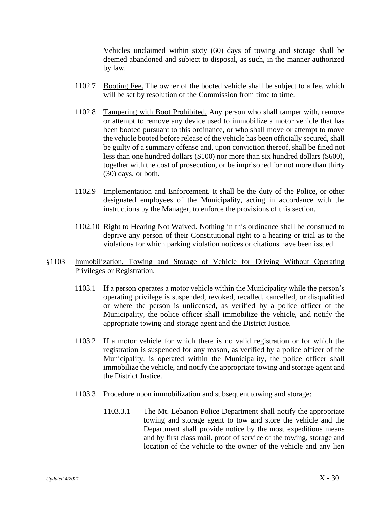Vehicles unclaimed within sixty (60) days of towing and storage shall be deemed abandoned and subject to disposal, as such, in the manner authorized by law.

- 1102.7 Booting Fee. The owner of the booted vehicle shall be subject to a fee, which will be set by resolution of the Commission from time to time.
- 1102.8 Tampering with Boot Prohibited. Any person who shall tamper with, remove or attempt to remove any device used to immobilize a motor vehicle that has been booted pursuant to this ordinance, or who shall move or attempt to move the vehicle booted before release of the vehicle has been officially secured, shall be guilty of a summary offense and, upon conviction thereof, shall be fined not less than one hundred dollars (\$100) nor more than six hundred dollars (\$600), together with the cost of prosecution, or be imprisoned for not more than thirty (30) days, or both.
- 1102.9 Implementation and Enforcement. It shall be the duty of the Police, or other designated employees of the Municipality, acting in accordance with the instructions by the Manager, to enforce the provisions of this section.
- 1102.10 Right to Hearing Not Waived. Nothing in this ordinance shall be construed to deprive any person of their Constitutional right to a hearing or trial as to the violations for which parking violation notices or citations have been issued.
- §1103 Immobilization, Towing and Storage of Vehicle for Driving Without Operating Privileges or Registration.
	- 1103.1 If a person operates a motor vehicle within the Municipality while the person's operating privilege is suspended, revoked, recalled, cancelled, or disqualified or where the person is unlicensed, as verified by a police officer of the Municipality, the police officer shall immobilize the vehicle, and notify the appropriate towing and storage agent and the District Justice.
	- 1103.2 If a motor vehicle for which there is no valid registration or for which the registration is suspended for any reason, as verified by a police officer of the Municipality, is operated within the Municipality, the police officer shall immobilize the vehicle, and notify the appropriate towing and storage agent and the District Justice.
	- 1103.3 Procedure upon immobilization and subsequent towing and storage:
		- 1103.3.1 The Mt. Lebanon Police Department shall notify the appropriate towing and storage agent to tow and store the vehicle and the Department shall provide notice by the most expeditious means and by first class mail, proof of service of the towing, storage and location of the vehicle to the owner of the vehicle and any lien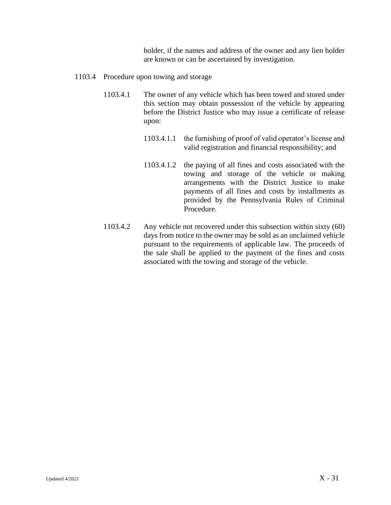holder, if the names and address of the owner and any lien holder are known or can be ascertained by investigation.

- 1103.4 Procedure upon towing and storage
	- 1103.4.1 The owner of any vehicle which has been towed and stored under this section may obtain possession of the vehicle by appearing before the District Justice who may issue a certificate of release upon:
		- 1103.4.1.1 the furnishing of proof of valid operator's license and valid registration and financial responsibility; and
		- 1103.4.1.2 the paying of all fines and costs associated with the towing and storage of the vehicle or making arrangements with the District Justice to make payments of all fines and costs by installments as provided by the Pennsylvania Rules of Criminal Procedure.
	- 1103.4.2 Any vehicle not recovered under this subsection within sixty (60) days from notice to the owner may be sold as an unclaimed vehicle pursuant to the requirements of applicable law. The proceeds of the sale shall be applied to the payment of the fines and costs associated with the towing and storage of the vehicle.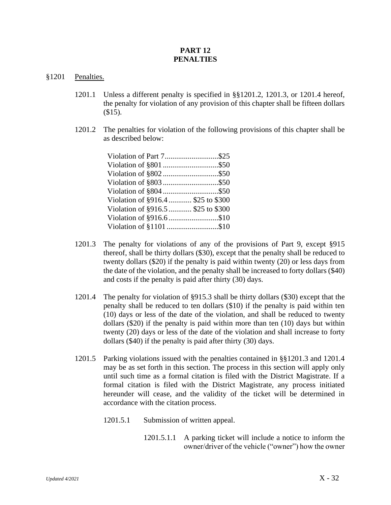# **PART 12 PENALTIES**

- §1201 Penalties.
	- 1201.1 Unless a different penalty is specified in §§1201.2, 1201.3, or 1201.4 hereof, the penalty for violation of any provision of this chapter shall be fifteen dollars (\$15).
	- 1201.2 The penalties for violation of the following provisions of this chapter shall be as described below:

| Violation of §916.4  \$25 to \$300 |  |
|------------------------------------|--|
| Violation of §916.5  \$25 to \$300 |  |
|                                    |  |
|                                    |  |

- 1201.3 The penalty for violations of any of the provisions of Part 9, except §915 thereof, shall be thirty dollars (\$30), except that the penalty shall be reduced to twenty dollars (\$20) if the penalty is paid within twenty (20) or less days from the date of the violation, and the penalty shall be increased to forty dollars (\$40) and costs if the penalty is paid after thirty (30) days.
- 1201.4 The penalty for violation of §915.3 shall be thirty dollars (\$30) except that the penalty shall be reduced to ten dollars (\$10) if the penalty is paid within ten (10) days or less of the date of the violation, and shall be reduced to twenty dollars (\$20) if the penalty is paid within more than ten (10) days but within twenty (20) days or less of the date of the violation and shall increase to forty dollars (\$40) if the penalty is paid after thirty (30) days.
- 1201.5 Parking violations issued with the penalties contained in §§1201.3 and 1201.4 may be as set forth in this section. The process in this section will apply only until such time as a formal citation is filed with the District Magistrate. If a formal citation is filed with the District Magistrate, any process initiated hereunder will cease, and the validity of the ticket will be determined in accordance with the citation process.
	- 1201.5.1 Submission of written appeal.
		- 1201.5.1.1 A parking ticket will include a notice to inform the owner/driver of the vehicle ("owner") how the owner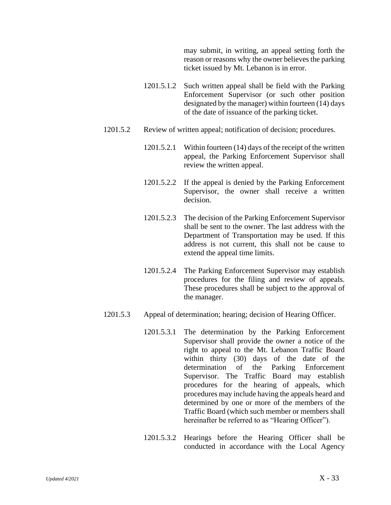may submit, in writing, an appeal setting forth the reason or reasons why the owner believes the parking ticket issued by Mt. Lebanon is in error.

- 1201.5.1.2 Such written appeal shall be field with the Parking Enforcement Supervisor (or such other position designated by the manager) within fourteen (14) days of the date of issuance of the parking ticket.
- 1201.5.2 Review of written appeal; notification of decision; procedures.
	- 1201.5.2.1 Within fourteen (14) days of the receipt of the written appeal, the Parking Enforcement Supervisor shall review the written appeal.
	- 1201.5.2.2 If the appeal is denied by the Parking Enforcement Supervisor, the owner shall receive a written decision.
	- 1201.5.2.3 The decision of the Parking Enforcement Supervisor shall be sent to the owner. The last address with the Department of Transportation may be used. If this address is not current, this shall not be cause to extend the appeal time limits.
	- 1201.5.2.4 The Parking Enforcement Supervisor may establish procedures for the filing and review of appeals. These procedures shall be subject to the approval of the manager.
- 1201.5.3 Appeal of determination; hearing; decision of Hearing Officer.
	- 1201.5.3.1 The determination by the Parking Enforcement Supervisor shall provide the owner a notice of the right to appeal to the Mt. Lebanon Traffic Board within thirty (30) days of the date of the determination of the Parking Enforcement Supervisor. The Traffic Board may establish procedures for the hearing of appeals, which procedures may include having the appeals heard and determined by one or more of the members of the Traffic Board (which such member or members shall hereinafter be referred to as "Hearing Officer").
	- 1201.5.3.2 Hearings before the Hearing Officer shall be conducted in accordance with the Local Agency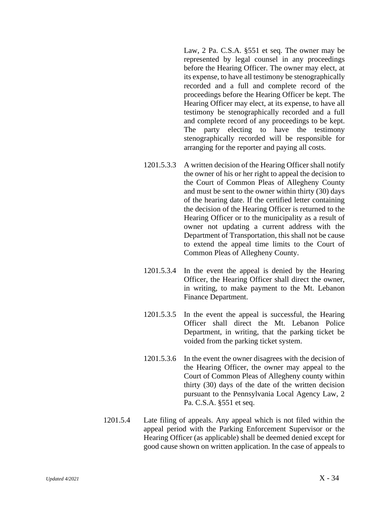Law, 2 Pa. C.S.A. §551 et seq. The owner may be represented by legal counsel in any proceedings before the Hearing Officer. The owner may elect, at its expense, to have all testimony be stenographically recorded and a full and complete record of the proceedings before the Hearing Officer be kept. The Hearing Officer may elect, at its expense, to have all testimony be stenographically recorded and a full and complete record of any proceedings to be kept. The party electing to have the testimony stenographically recorded will be responsible for arranging for the reporter and paying all costs.

- 1201.5.3.3 A written decision of the Hearing Officer shall notify the owner of his or her right to appeal the decision to the Court of Common Pleas of Allegheny County and must be sent to the owner within thirty (30) days of the hearing date. If the certified letter containing the decision of the Hearing Officer is returned to the Hearing Officer or to the municipality as a result of owner not updating a current address with the Department of Transportation, this shall not be cause to extend the appeal time limits to the Court of Common Pleas of Allegheny County.
- 1201.5.3.4 In the event the appeal is denied by the Hearing Officer, the Hearing Officer shall direct the owner, in writing, to make payment to the Mt. Lebanon Finance Department.
- 1201.5.3.5 In the event the appeal is successful, the Hearing Officer shall direct the Mt. Lebanon Police Department, in writing, that the parking ticket be voided from the parking ticket system.
- 1201.5.3.6 In the event the owner disagrees with the decision of the Hearing Officer, the owner may appeal to the Court of Common Pleas of Allegheny county within thirty (30) days of the date of the written decision pursuant to the Pennsylvania Local Agency Law, 2 Pa. C.S.A. §551 et seq.
- 1201.5.4 Late filing of appeals. Any appeal which is not filed within the appeal period with the Parking Enforcement Supervisor or the Hearing Officer (as applicable) shall be deemed denied except for good cause shown on written application. In the case of appeals to